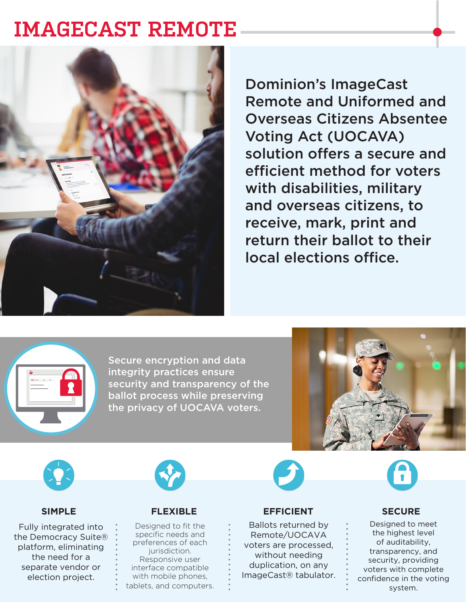## **IMAGECAST REMOTE**



Dominion's ImageCast Remote and Uniformed and Overseas Citizens Absentee Voting Act (UOCAVA) solution offers a secure and efficient method for voters with disabilities, military and overseas citizens, to receive, mark, print and return their ballot to their local elections office.



Secure encryption and data integrity practices ensure security and transparency of the ballot process while preserving the privacy of UOCAVA voters.





Fully integrated into the Democracy Suite® platform, eliminating the need for a separate vendor or election project.



### **SIMPLE FLEXIBLE EFFICIENT SECURE**

Designed to fit the specific needs and preferences of each jurisdiction. Responsive user interface compatible with mobile phones, tablets, and computers.

Ballots returned by Remote/UOCAVA voters are processed, without needing duplication, on any ImageCast® tabulator.



Designed to meet the highest level of auditability, transparency, and security, providing voters with complete confidence in the voting system.